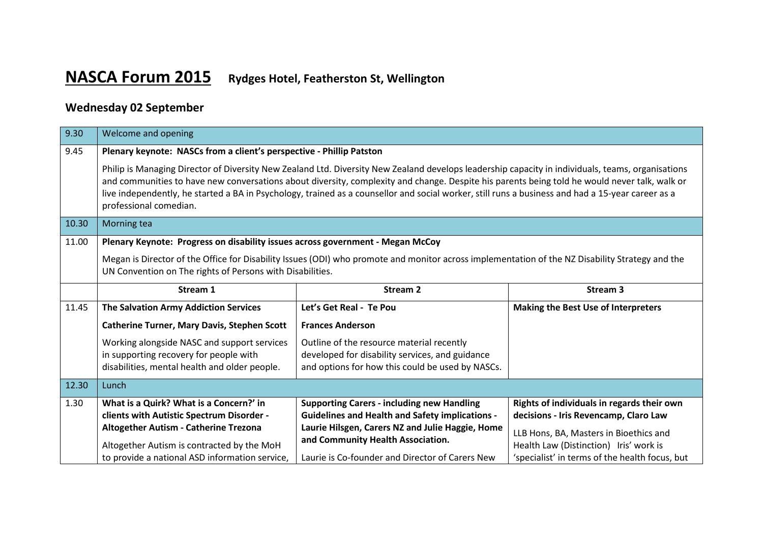## **NASCA Forum 2015 Rydges Hotel, Featherston St, Wellington**

## **Wednesday 02 September**

| 9.30                                                                                    | Welcome and opening                                                                                                                                                                                                                                                                                                                                                                                                                                                               |                                                                                       |                                                                                  |  |  |  |  |
|-----------------------------------------------------------------------------------------|-----------------------------------------------------------------------------------------------------------------------------------------------------------------------------------------------------------------------------------------------------------------------------------------------------------------------------------------------------------------------------------------------------------------------------------------------------------------------------------|---------------------------------------------------------------------------------------|----------------------------------------------------------------------------------|--|--|--|--|
| 9.45                                                                                    | Plenary keynote: NASCs from a client's perspective - Phillip Patston                                                                                                                                                                                                                                                                                                                                                                                                              |                                                                                       |                                                                                  |  |  |  |  |
|                                                                                         | Philip is Managing Director of Diversity New Zealand Ltd. Diversity New Zealand develops leadership capacity in individuals, teams, organisations<br>and communities to have new conversations about diversity, complexity and change. Despite his parents being told he would never talk, walk or<br>live independently, he started a BA in Psychology, trained as a counsellor and social worker, still runs a business and had a 15-year career as a<br>professional comedian. |                                                                                       |                                                                                  |  |  |  |  |
| 10.30                                                                                   | Morning tea                                                                                                                                                                                                                                                                                                                                                                                                                                                                       |                                                                                       |                                                                                  |  |  |  |  |
| 11.00<br>Plenary Keynote: Progress on disability issues across government - Megan McCoy |                                                                                                                                                                                                                                                                                                                                                                                                                                                                                   |                                                                                       |                                                                                  |  |  |  |  |
|                                                                                         | Megan is Director of the Office for Disability Issues (ODI) who promote and monitor across implementation of the NZ Disability Strategy and the<br>UN Convention on The rights of Persons with Disabilities.                                                                                                                                                                                                                                                                      |                                                                                       |                                                                                  |  |  |  |  |
|                                                                                         | Stream 1                                                                                                                                                                                                                                                                                                                                                                                                                                                                          | <b>Stream 2</b>                                                                       | Stream <sub>3</sub>                                                              |  |  |  |  |
| 11.45                                                                                   | The Salvation Army Addiction Services                                                                                                                                                                                                                                                                                                                                                                                                                                             | Let's Get Real - Te Pou                                                               | Making the Best Use of Interpreters                                              |  |  |  |  |
|                                                                                         | <b>Catherine Turner, Mary Davis, Stephen Scott</b>                                                                                                                                                                                                                                                                                                                                                                                                                                | <b>Frances Anderson</b>                                                               |                                                                                  |  |  |  |  |
|                                                                                         | Working alongside NASC and support services                                                                                                                                                                                                                                                                                                                                                                                                                                       | Outline of the resource material recently                                             |                                                                                  |  |  |  |  |
|                                                                                         | in supporting recovery for people with                                                                                                                                                                                                                                                                                                                                                                                                                                            | developed for disability services, and guidance                                       |                                                                                  |  |  |  |  |
|                                                                                         | disabilities, mental health and older people.                                                                                                                                                                                                                                                                                                                                                                                                                                     | and options for how this could be used by NASCs.                                      |                                                                                  |  |  |  |  |
|                                                                                         |                                                                                                                                                                                                                                                                                                                                                                                                                                                                                   |                                                                                       |                                                                                  |  |  |  |  |
| 12.30                                                                                   | Lunch                                                                                                                                                                                                                                                                                                                                                                                                                                                                             |                                                                                       |                                                                                  |  |  |  |  |
| 1.30                                                                                    | What is a Quirk? What is a Concern?' in                                                                                                                                                                                                                                                                                                                                                                                                                                           | <b>Supporting Carers - including new Handling</b>                                     | Rights of individuals in regards their own                                       |  |  |  |  |
|                                                                                         | clients with Autistic Spectrum Disorder -                                                                                                                                                                                                                                                                                                                                                                                                                                         | <b>Guidelines and Health and Safety implications -</b>                                | decisions - Iris Revencamp, Claro Law                                            |  |  |  |  |
|                                                                                         | Altogether Autism - Catherine Trezona<br>Altogether Autism is contracted by the MoH                                                                                                                                                                                                                                                                                                                                                                                               | Laurie Hilsgen, Carers NZ and Julie Haggie, Home<br>and Community Health Association. | LLB Hons, BA, Masters in Bioethics and<br>Health Law (Distinction) Iris' work is |  |  |  |  |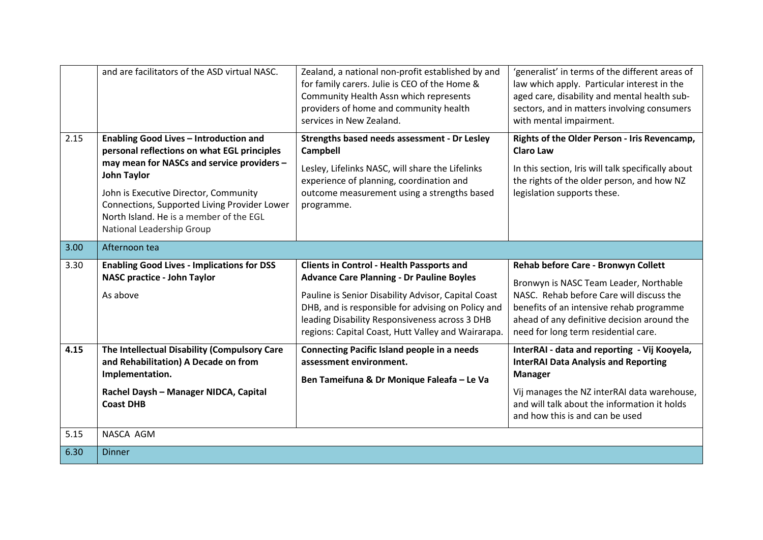|      | and are facilitators of the ASD virtual NASC.                                                                                                                                                                                                                                                                              | Zealand, a national non-profit established by and<br>for family carers. Julie is CEO of the Home &<br>Community Health Assn which represents<br>providers of home and community health<br>services in New Zealand.                                                                                                        | 'generalist' in terms of the different areas of<br>law which apply. Particular interest in the<br>aged care, disability and mental health sub-<br>sectors, and in matters involving consumers<br>with mental impairment.                                     |
|------|----------------------------------------------------------------------------------------------------------------------------------------------------------------------------------------------------------------------------------------------------------------------------------------------------------------------------|---------------------------------------------------------------------------------------------------------------------------------------------------------------------------------------------------------------------------------------------------------------------------------------------------------------------------|--------------------------------------------------------------------------------------------------------------------------------------------------------------------------------------------------------------------------------------------------------------|
| 2.15 | Enabling Good Lives - Introduction and<br>personal reflections on what EGL principles<br>may mean for NASCs and service providers -<br><b>John Taylor</b><br>John is Executive Director, Community<br>Connections, Supported Living Provider Lower<br>North Island. He is a member of the EGL<br>National Leadership Group | Strengths based needs assessment - Dr Lesley<br><b>Campbell</b><br>Lesley, Lifelinks NASC, will share the Lifelinks<br>experience of planning, coordination and<br>outcome measurement using a strengths based<br>programme.                                                                                              | Rights of the Older Person - Iris Revencamp,<br><b>Claro Law</b><br>In this section, Iris will talk specifically about<br>the rights of the older person, and how NZ<br>legislation supports these.                                                          |
| 3.00 | Afternoon tea                                                                                                                                                                                                                                                                                                              |                                                                                                                                                                                                                                                                                                                           |                                                                                                                                                                                                                                                              |
| 3.30 | <b>Enabling Good Lives - Implications for DSS</b><br><b>NASC practice - John Taylor</b><br>As above                                                                                                                                                                                                                        | <b>Clients in Control - Health Passports and</b><br><b>Advance Care Planning - Dr Pauline Boyles</b><br>Pauline is Senior Disability Advisor, Capital Coast<br>DHB, and is responsible for advising on Policy and<br>leading Disability Responsiveness across 3 DHB<br>regions: Capital Coast, Hutt Valley and Wairarapa. | Rehab before Care - Bronwyn Collett<br>Bronwyn is NASC Team Leader, Northable<br>NASC. Rehab before Care will discuss the<br>benefits of an intensive rehab programme<br>ahead of any definitive decision around the<br>need for long term residential care. |
| 4.15 | The Intellectual Disability (Compulsory Care<br>and Rehabilitation) A Decade on from<br>Implementation.<br>Rachel Daysh - Manager NIDCA, Capital<br><b>Coast DHB</b>                                                                                                                                                       | <b>Connecting Pacific Island people in a needs</b><br>assessment environment.<br>Ben Tameifuna & Dr Monique Faleafa - Le Va                                                                                                                                                                                               | InterRAI - data and reporting - Vij Kooyela,<br><b>InterRAI Data Analysis and Reporting</b><br><b>Manager</b><br>Vij manages the NZ interRAI data warehouse,<br>and will talk about the information it holds<br>and how this is and can be used              |
| 5.15 | NASCA AGM                                                                                                                                                                                                                                                                                                                  |                                                                                                                                                                                                                                                                                                                           |                                                                                                                                                                                                                                                              |
| 6.30 | <b>Dinner</b>                                                                                                                                                                                                                                                                                                              |                                                                                                                                                                                                                                                                                                                           |                                                                                                                                                                                                                                                              |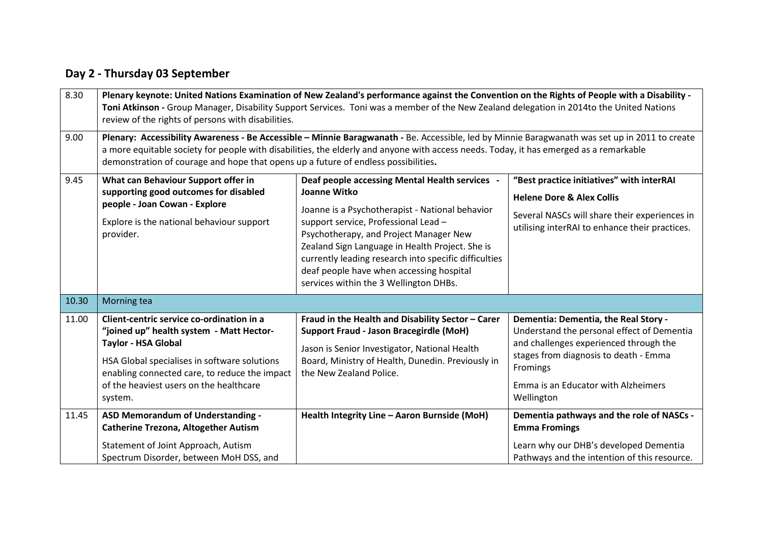## **Day 2 - Thursday 03 September**

| 8.30  | Plenary keynote: United Nations Examination of New Zealand's performance against the Convention on the Rights of People with a Disability -<br>Toni Atkinson - Group Manager, Disability Support Services. Toni was a member of the New Zealand delegation in 2014to the United Nations<br>review of the rights of persons with disabilities.                                  |                                                                                                                                                                                                                                                                                                                                                                                                       |                                                                                                                                                                                                                                        |  |  |
|-------|--------------------------------------------------------------------------------------------------------------------------------------------------------------------------------------------------------------------------------------------------------------------------------------------------------------------------------------------------------------------------------|-------------------------------------------------------------------------------------------------------------------------------------------------------------------------------------------------------------------------------------------------------------------------------------------------------------------------------------------------------------------------------------------------------|----------------------------------------------------------------------------------------------------------------------------------------------------------------------------------------------------------------------------------------|--|--|
| 9.00  | Plenary: Accessibility Awareness - Be Accessible - Minnie Baragwanath - Be. Accessible, led by Minnie Baragwanath was set up in 2011 to create<br>a more equitable society for people with disabilities, the elderly and anyone with access needs. Today, it has emerged as a remarkable<br>demonstration of courage and hope that opens up a future of endless possibilities. |                                                                                                                                                                                                                                                                                                                                                                                                       |                                                                                                                                                                                                                                        |  |  |
| 9.45  | What can Behaviour Support offer in<br>supporting good outcomes for disabled<br>people - Joan Cowan - Explore<br>Explore is the national behaviour support<br>provider.                                                                                                                                                                                                        | Deaf people accessing Mental Health services -<br>Joanne Witko<br>Joanne is a Psychotherapist - National behavior<br>support service, Professional Lead -<br>Psychotherapy, and Project Manager New<br>Zealand Sign Language in Health Project. She is<br>currently leading research into specific difficulties<br>deaf people have when accessing hospital<br>services within the 3 Wellington DHBs. | "Best practice initiatives" with interRAI<br><b>Helene Dore &amp; Alex Collis</b><br>Several NASCs will share their experiences in<br>utilising interRAI to enhance their practices.                                                   |  |  |
| 10.30 | Morning tea                                                                                                                                                                                                                                                                                                                                                                    |                                                                                                                                                                                                                                                                                                                                                                                                       |                                                                                                                                                                                                                                        |  |  |
| 11.00 | Client-centric service co-ordination in a<br>"joined up" health system - Matt Hector-<br><b>Taylor - HSA Global</b><br>HSA Global specialises in software solutions<br>enabling connected care, to reduce the impact<br>of the heaviest users on the healthcare<br>system.                                                                                                     | Fraud in the Health and Disability Sector - Carer<br><b>Support Fraud - Jason Bracegirdle (MoH)</b><br>Jason is Senior Investigator, National Health<br>Board, Ministry of Health, Dunedin. Previously in<br>the New Zealand Police.                                                                                                                                                                  | Dementia: Dementia, the Real Story -<br>Understand the personal effect of Dementia<br>and challenges experienced through the<br>stages from diagnosis to death - Emma<br>Fromings<br>Emma is an Educator with Alzheimers<br>Wellington |  |  |
| 11.45 | ASD Memorandum of Understanding -<br><b>Catherine Trezona, Altogether Autism</b><br>Statement of Joint Approach, Autism<br>Spectrum Disorder, between MoH DSS, and                                                                                                                                                                                                             | Health Integrity Line - Aaron Burnside (MoH)                                                                                                                                                                                                                                                                                                                                                          | Dementia pathways and the role of NASCs -<br><b>Emma Fromings</b><br>Learn why our DHB's developed Dementia<br>Pathways and the intention of this resource.                                                                            |  |  |